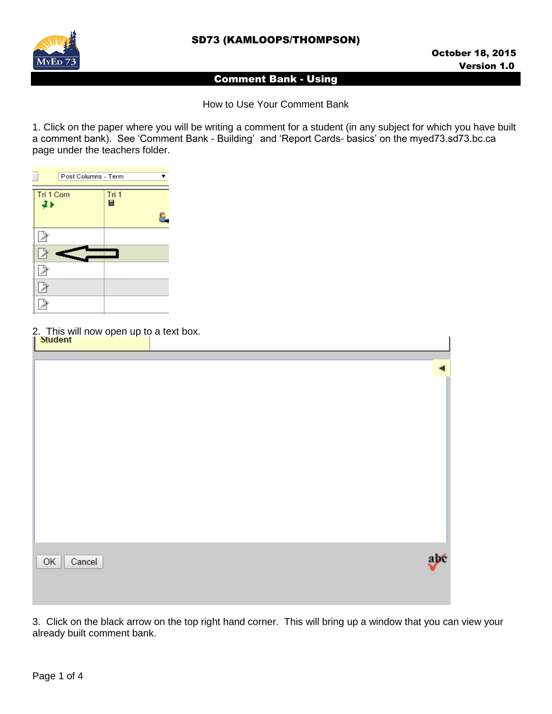SD73 (KAMLOOPS/THOMPSON)



## Comment Bank - Using

How to Use Your Comment Bank

1. Click on the paper where you will be writing a comment for a student (in any subject for which you have built a comment bank). See 'Comment Bank - Building' and 'Report Cards- basics' on the myed73.sd73.bc.ca page under the teachers folder.



2. This will now open up to a text box.

| $\frac{1}{\sqrt{2}}$ Student |     |   |
|------------------------------|-----|---|
|                              |     | ◀ |
|                              |     |   |
|                              |     |   |
|                              |     |   |
|                              |     |   |
|                              |     |   |
|                              |     |   |
|                              |     |   |
| Cancel<br>OK                 | abe |   |
|                              |     |   |
|                              |     |   |

3. Click on the black arrow on the top right hand corner. This will bring up a window that you can view your already built comment bank.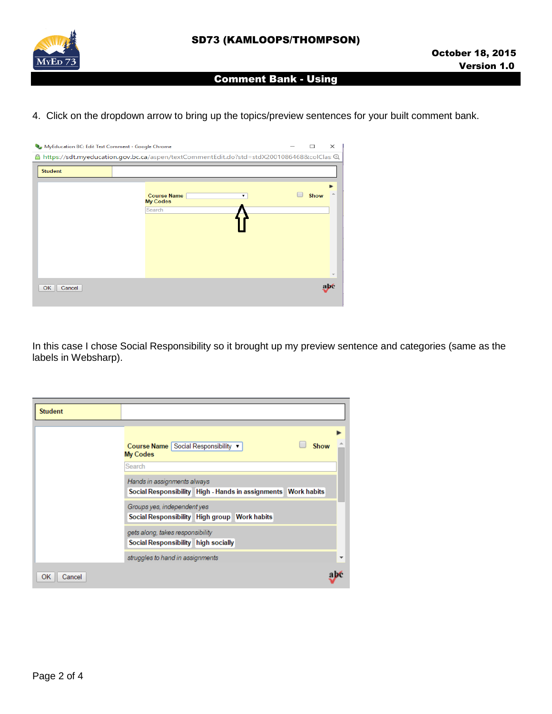

## Comment Bank - Using

4. Click on the dropdown arrow to bring up the topics/preview sentences for your built comment bank.

| MyEducation BC: Edit Text Comment - Google Chrome |                                                                                        |  | п    | $\times$ |
|---------------------------------------------------|----------------------------------------------------------------------------------------|--|------|----------|
| 8                                                 | https://sdt.myeducation.gov.bc.ca/aspen/textCommentEdit.do?std=stdX2001086468&colClas@ |  |      |          |
| <b>Student</b>                                    |                                                                                        |  |      |          |
|                                                   | <b>Course Name</b><br>▼                                                                |  | Show |          |
|                                                   | <b>My Codes</b><br>Search                                                              |  |      |          |
|                                                   |                                                                                        |  |      |          |
|                                                   |                                                                                        |  |      |          |
|                                                   |                                                                                        |  |      |          |
|                                                   |                                                                                        |  |      |          |
| OK<br>Cancel                                      |                                                                                        |  |      |          |

In this case I chose Social Responsibility so it brought up my preview sentence and categories (same as the labels in Websharp).

| <b>Student</b> |                                                                                                 |  |      |   |
|----------------|-------------------------------------------------------------------------------------------------|--|------|---|
|                | Course Name Social Responsibility ▼<br><b>My Codes</b><br>Search<br>Hands in assignments always |  | Show |   |
|                | Social Responsibility High - Hands in assignments Work habits                                   |  |      |   |
|                | Groups yes, independent yes                                                                     |  |      |   |
|                | Social Responsibility High group Work habits                                                    |  |      |   |
|                | gets along, takes responsibility                                                                |  |      |   |
|                | Social Responsibility high socially                                                             |  |      |   |
|                | struggles to hand in assignments                                                                |  |      | ▼ |
| OK<br>Cancel   |                                                                                                 |  |      |   |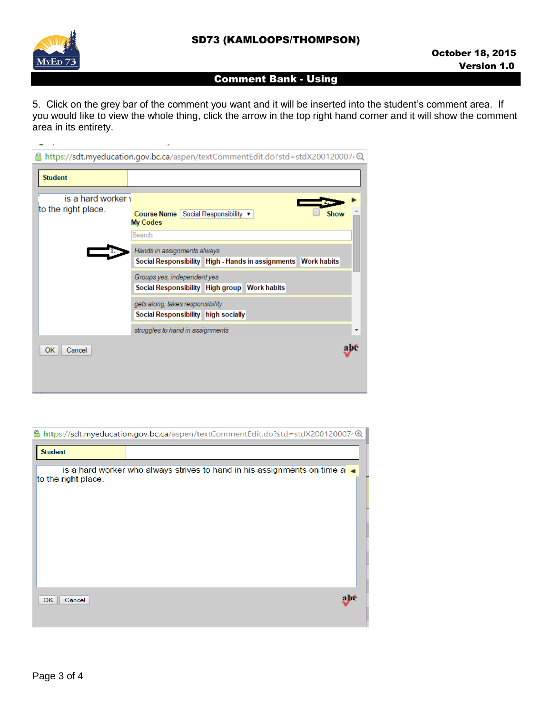

## Comment Bank - Using

5. Click on the grey bar of the comment you want and it will be inserted into the student's comment area. If you would like to view the whole thing, click the arrow in the top right hand corner and it will show the comment area in its entirety.

| <b>Student</b>      |                                                                |      |
|---------------------|----------------------------------------------------------------|------|
| is a hard worker y  |                                                                |      |
| to the right place. | Course Name Social Responsibility ▼<br><b>My Codes</b>         | Show |
|                     | Search                                                         |      |
|                     | Hands in assignments always                                    |      |
|                     | Social Responsibility High - Hands in assignments  Work habits |      |
|                     | Groups yes, independent yes                                    |      |
|                     | Social Responsibility High group Work habits                   |      |
|                     | gets along, takes responsibility                               |      |
|                     | Social Responsibility high socially                            |      |
|                     | struggles to hand in assignments                               |      |
| 0K<br>Cancel        |                                                                |      |

| ≏                   | https://sdt.myeducation.gov.bc.ca/aspen/textCommentEdit.do?std=stdX2001200074@ |
|---------------------|--------------------------------------------------------------------------------|
| <b>Student</b>      |                                                                                |
|                     | is a hard worker who always strives to hand in his assignments on time a       |
| to the right place. |                                                                                |
|                     |                                                                                |
|                     |                                                                                |
|                     |                                                                                |
|                     |                                                                                |
|                     |                                                                                |
| OK<br>Cancel        | abé                                                                            |
|                     |                                                                                |